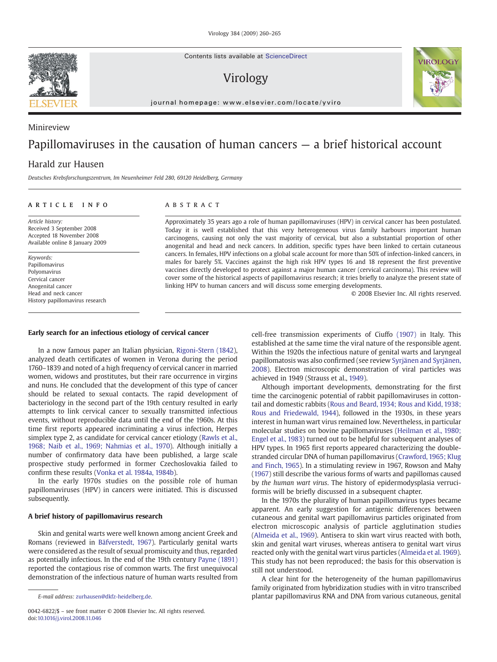Contents lists available at ScienceDirect

# Virology



journal homepage: www.elsevier.com/locate/yviro

## Minireview Papillomaviruses in the causation of human cancers — a brief historical account

### Harald zur Hausen

Deutsches Krebsforschungszentrum, Im Neuenheimer Feld 280, 69120 Heidelberg, Germany

#### article info abstract

Article history: Received 3 September 2008 Accepted 18 November 2008 Available online 8 January 2009

Keywords: Papillomavirus Polyomavirus Cervical cancer Anogenital cancer Head and neck cancer History papillomavirus research

Approximately 35 years ago a role of human papillomaviruses (HPV) in cervical cancer has been postulated. Today it is well established that this very heterogeneous virus family harbours important human carcinogens, causing not only the vast majority of cervical, but also a substantial proportion of other anogenital and head and neck cancers. In addition, specific types have been linked to certain cutaneous cancers. In females, HPV infections on a global scale account for more than 50% of infection-linked cancers, in males for barely 5%. Vaccines against the high risk HPV types 16 and 18 represent the first preventive vaccines directly developed to protect against a major human cancer (cervical carcinoma). This review will cover some of the historical aspects of papillomavirus research; it tries briefly to analyze the present state of linking HPV to human cancers and will discuss some emerging developments.

© 2008 Elsevier Inc. All rights reserved.

#### Early search for an infectious etiology of cervical cancer

In a now famous paper an Italian physician, [Rigoni-Stern \(1842](#page-4-0)), analyzed death certificates of women in Verona during the period 1760–1839 and noted of a high frequency of cervical cancer in married women, widows and prostitutes, but their rare occurrence in virgins and nuns. He concluded that the development of this type of cancer should be related to sexual contacts. The rapid development of bacteriology in the second part of the 19th century resulted in early attempts to link cervical cancer to sexually transmitted infectious events, without reproducible data until the end of the 1960s. At this time first reports appeared incriminating a virus infection, Herpes simplex type 2, as candidate for cervical cancer etiology ([Rawls et al.,](#page-4-0) [1968; Naib et al., 1969; Nahmias et al., 1970\)](#page-4-0). Although initially a number of confirmatory data have been published, a large scale prospective study performed in former Czechoslovakia failed to confirm these results ([Vonka et al. 1984a, 1984b](#page-4-0)).

In the early 1970s studies on the possible role of human papillomaviruses (HPV) in cancers were initiated. This is discussed subsequently.

### A brief history of papillomavirus research

Skin and genital warts were well known among ancient Greek and Romans (reviewed in [Bäfverstedt, 1967\)](#page-3-0). Particularly genital warts were considered as the result of sexual promiscuity and thus, regarded as potentially infectious. In the end of the 19th century [Payne \(1891\)](#page-4-0) reported the contagious rise of common warts. The first unequivocal demonstration of the infectious nature of human warts resulted from cell-free transmission experiments of Ciuffo [\(1907\)](#page-3-0) in Italy. This established at the same time the viral nature of the responsible agent. Within the 1920s the infectious nature of genital warts and laryngeal papillomatosis was also confirmed (see review [Syrjänen and Syrjänen,](#page-4-0) [2008](#page-4-0)). Electron microscopic demonstration of viral particles was achieved in 1949 (Strauss et al., [1949](#page-4-0)).

Although important developments, demonstrating for the first time the carcinogenic potential of rabbit papillomaviruses in cottontail and domestic rabbits ([Rous and Beard, 1934; Rous and Kidd, 1938;](#page-4-0) [Rous and Friedewald, 1944\)](#page-4-0), followed in the 1930s, in these years interest in human wart virus remained low. Nevertheless, in particular molecular studies on bovine papillomaviruses [\(Heilman et al., 1980;](#page-4-0) [Engel et al., 1983\)](#page-4-0) turned out to be helpful for subsequent analyses of HPV types. In 1965 first reports appeared characterizing the doublestranded circular DNA of human papillomavirus ([Crawford, 1965; Klug](#page-3-0) [and Finch, 1965](#page-3-0)). In a stimulating review in 1967, Rowson and Mahy ([1967](#page-4-0)) still describe the various forms of warts and papillomas caused by the human wart virus. The history of epidermodysplasia verruciformis will be briefly discussed in a subsequent chapter.

In the 1970s the plurality of human papillomavirus types became apparent. An early suggestion for antigenic differences between cutaneous and genital wart papillomavirus particles originated from electron microscopic analysis of particle agglutination studies ([Almeida et al., 1969](#page-3-0)). Antisera to skin wart virus reacted with both, skin and genital wart viruses, whereas antisera to genital wart virus reacted only with the genital wart virus particles [\(Almeida et al. 1969](#page-3-0)). This study has not been reproduced; the basis for this observation is still not understood.

A clear hint for the heterogeneity of the human papillomavirus family originated from hybridization studies with in vitro transcribed plantar papillomavirus RNA and DNA from various cutaneous, genital



E-mail address: [zurhausen@dkfz-heidelberg.de.](mailto:zurhausen@dkfz-heidelberg.de)

<sup>0042-6822/\$</sup> – see front matter © 2008 Elsevier Inc. All rights reserved. doi:[10.1016/j.virol.2008.11.046](http://dx.doi.org/10.1016/j.virol.2008.11.046)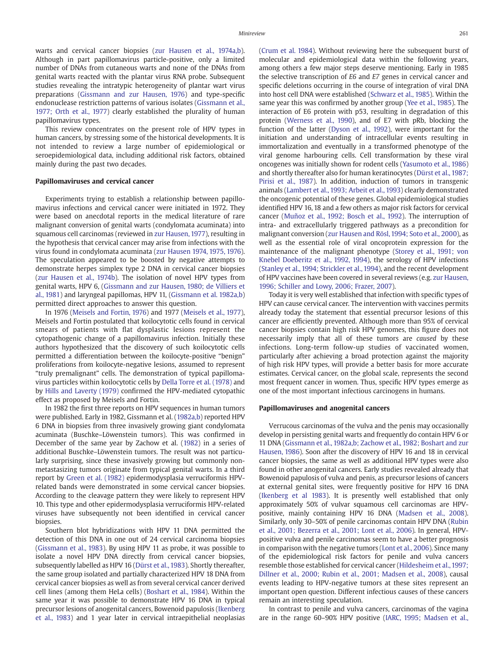warts and cervical cancer biopsies ([zur Hausen et al., 1974a,b\)](#page-5-0). Although in part papillomavirus particle-positive, only a limited number of DNAs from cutaneous warts and none of the DNAs from genital warts reacted with the plantar virus RNA probe. Subsequent studies revealing the intratypic heterogeneity of plantar wart virus preparations [\(Gissmann and zur Hausen, 1976](#page-3-0)) and type-specific endonuclease restriction patterns of various isolates [\(Gissmann et al.,](#page-3-0) [1977; Orth et al., 1977](#page-3-0)) clearly established the plurality of human papillomavirus types.

This review concentrates on the present role of HPV types in human cancers, by stressing some of the historical developments. It is not intended to review a large number of epidemiological or seroepidemiological data, including additional risk factors, obtained mainly during the past two decades.

#### Papillomaviruses and cervical cancer

Experiments trying to establish a relationship between papillomavirus infections and cervical cancer were initiated in 1972. They were based on anecdotal reports in the medical literature of rare malignant conversion of genital warts (condylomata acuminata) into squamous cell carcinomas (reviewed in [zur Hausen, 1977](#page-5-0)), resulting in the hypothesis that cervical cancer may arise from infections with the virus found in condylomata acuminata [\(zur Hausen 1974, 1975, 1976\)](#page-5-0). The speculation appeared to be boosted by negative attempts to demonstrate herpes simplex type 2 DNA in cervical cancer biopsies [\(zur Hausen et al., 1974b\)](#page-5-0). The isolation of novel HPV types from genital warts, HPV 6, [\(Gissmann and zur Hausen, 1980; de Villiers et](#page-3-0) [al., 1981\)](#page-3-0) and laryngeal papillomas, HPV 11, [\(Gissmann et al. 1982a,b\)](#page-3-0) permitted direct approaches to answer this question.

In 1976 ([Meisels and Fortin, 1976](#page-4-0)) and 1977 ([Meisels et al., 1977\)](#page-4-0), Meisels and Fortin postulated that koilocytotic cells found in cervical smears of patients with flat dysplastic lesions represent the cytopathogenic change of a papillomavirus infection. Initially these authors hypothesized that the discovery of such koilocytotic cells permitted a differentiation between the koilocyte-positive "benign" proliferations from koilocyte-negative lesions, assumed to represent "truly premalignant" cells. The demonstration of typical papillomavirus particles within koilocytotic cells by [Della Torre et al. \(1978\)](#page-3-0) and by [Hills and Laverty \(1979\)](#page-4-0) confirmed the HPV-mediated cytopathic effect as proposed by Meisels and Fortin.

In 1982 the first three reports on HPV sequences in human tumors were published. Early in 1982, Gissmann et al. ([1982a,b](#page-3-0)) reported HPV 6 DNA in biopsies from three invasively growing giant condylomata acuminata (Buschke–Löwenstein tumors). This was confirmed in December of the same year by Zachow et al. ([1982](#page-5-0)) in a series of additional Buschke–Löwenstein tumors. The result was not particularly surprising, since these invasively growing but commonly nonmetastasizing tumors originate from typical genital warts. In a third report by [Green et al. \(1982\)](#page-4-0) epidermodysplasia verruciformis HPVrelated bands were demonstrated in some cervical cancer biopsies. According to the cleavage pattern they were likely to represent HPV 10. This type and other epidermodysplasia verruciformis HPV-related viruses have subsequently not been identified in cervical cancer biopsies.

Southern blot hybridizations with HPV 11 DNA permitted the detection of this DNA in one out of 24 cervical carcinoma biopsies [\(Gissmann et al., 1983](#page-3-0)). By using HPV 11 as probe, it was possible to isolate a novel HPV DNA directly from cervical cancer biopsies, subsequently labelled as HPV 16 [\(Dürst et al., 1983\)](#page-3-0). Shortly thereafter, the same group isolated and partially characterized HPV 18 DNA from cervical cancer biopsies as well as from several cervical cancer derived cell lines (among them HeLa cells) ([Boshart et al., 1984\)](#page-3-0). Within the same year it was possible to demonstrate HPV 16 DNA in typical precursor lesions of anogenital cancers, Bowenoid papulosis ([Ikenberg](#page-4-0) [et al., 1983\)](#page-4-0) and 1 year later in cervical intraepithelial neoplasias molecular and epidemiological data within the following years, among others a few major steps deserve mentioning. Early in 1985 the selective transcription of E6 and E7 genes in cervical cancer and specific deletions occurring in the course of integration of viral DNA into host cell DNA were established [\(Schwarz et al., 1985](#page-4-0)). Within the same year this was confirmed by another group [\(Yee et al., 1985](#page-5-0)). The interaction of E6 protein with p53, resulting in degradation of this protein ([Werness et al., 1990](#page-5-0)), and of E7 with pRb, blocking the function of the latter [\(Dyson et al., 1992\)](#page-3-0), were important for the initiation and understanding of intracellular events resulting in immortalization and eventually in a transformed phenotype of the viral genome harbouring cells. Cell transformation by these viral oncogenes was initially shown for rodent cells ([Yasumoto et al., 1986\)](#page-5-0) and shortly thereafter also for human keratinocytes [\(Dürst et al., 1987;](#page-3-0) [Pirisi et al., 1987](#page-3-0)). In addition, induction of tumors in transgenic animals ([Lambert et al., 1993; Arbeit et al., 1993](#page-4-0)) clearly demonstrated the oncogenic potential of these genes. Global epidemiological studies identified HPV 16, 18 and a few others as major risk factors for cervical cancer [\(Muñoz et al., 1992; Bosch et al., 1992\)](#page-4-0). The interruption of intra- and extracellularly triggered pathways as a precondition for malignant conversion [\(zur Hausen and Rösl, 1994; Soto et al., 2000\)](#page-5-0), as well as the essential role of viral oncoprotein expression for the maintenance of the malignant phenotype ([Storey et al., 1991; von](#page-4-0) [Knebel Doeberitz et al., 1992, 1994](#page-4-0)), the serology of HPV infections [\(Stanley et al., 1994; Strickler et al., 1994](#page-4-0)), and the recent development of HPV vaccines have been covered in several reviews (e.g. [zur Hausen,](#page-5-0) [1996; Schiller and Lowy, 2006; Frazer, 2007\)](#page-5-0).

Today it is very well established that infection with specific types of HPV can cause cervical cancer. The intervention with vaccines permits already today the statement that essential precursor lesions of this cancer are efficiently prevented. Although more than 95% of cervical cancer biopsies contain high risk HPV genomes, this figure does not necessarily imply that all of these tumors are caused by these infections. Long-term follow-up studies of vaccinated women, particularly after achieving a broad protection against the majority of high risk HPV types, will provide a better basis for more accurate estimates. Cervical cancer, on the global scale, represents the second most frequent cancer in women. Thus, specific HPV types emerge as one of the most important infectious carcinogens in humans.

#### Papillomaviruses and anogenital cancers

Verrucous carcinomas of the vulva and the penis may occasionally develop in persisting genital warts and frequently do contain HPV 6 or 11 DNA ([Gissmann et al., 1982a,b; Zachow et al., 1982; Boshart and zur](#page-3-0) [Hausen, 1986](#page-3-0)). Soon after the discovery of HPV 16 and 18 in cervical cancer biopsies, the same as well as additional HPV types were also found in other anogenital cancers. Early studies revealed already that Bowenoid papulosis of vulva and penis, as precursor lesions of cancers at external genital sites, were frequently positive for HPV 16 DNA [\(Ikenberg et al 1983](#page-4-0)). It is presently well established that only approximately 50% of vulvar squamous cell carcinomas are HPVpositive, mainly containing HPV 16 DNA ([Madsen et al., 2008\)](#page-4-0). Similarly, only 30–50% of penile carcinomas contain HPV DNA [\(Rubin](#page-4-0) [et al., 2001; Bezerra et al., 2001; Lont et al., 2006\)](#page-4-0). In general, HPVpositive vulva and penile carcinomas seem to have a better prognosis in comparison with the negative tumors ([Lont et al., 2006](#page-4-0)). Since many of the epidemiological risk factors for penile and vulva cancers resemble those established for cervical cancer ([Hildesheim et al., 1997;](#page-4-0) [Dillner et al., 2000; Rubin et al., 2001; Madsen et al., 2008](#page-4-0)), causal events leading to HPV-negative tumors at these sites represent an important open question. Different infectious causes of these cancers remain an interesting speculation.

In contrast to penile and vulva cancers, carcinomas of the vagina are in the range 60–90% HPV positive [\(IARC, 1995; Madsen et al.,](#page-4-0)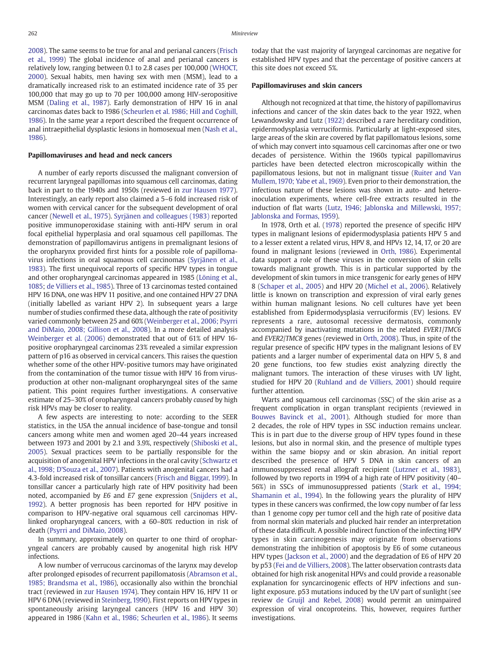[2008](#page-4-0)). The same seems to be true for anal and perianal cancers [\(Frisch](#page-3-0) [et al., 1999](#page-3-0)) The global incidence of anal and perianal cancers is relatively low, ranging between 0.1 to 2.8 cases per 100,000 ([WHOCT,](#page-5-0) [2000](#page-5-0)). Sexual habits, men having sex with men (MSM), lead to a dramatically increased risk to an estimated incidence rate of 35 per 100,000 that may go up to 70 per 100,000 among HIV-seropositive MSM [\(Daling et al., 1987](#page-3-0)). Early demonstration of HPV 16 in anal carcinomas dates back to 1986 [\(Scheurlen et al. 1986; Hill and Coghill,](#page-4-0) [1986](#page-4-0)). In the same year a report described the frequent occurrence of anal intraepithelial dysplastic lesions in homosexual men ([Nash et al.,](#page-4-0) [1986](#page-4-0)).

#### Papillomaviruses and head and neck cancers

A number of early reports discussed the malignant conversion of recurrent laryngeal papillomas into squamous cell carcinomas, dating back in part to the 1940s and 1950s (reviewed in [zur Hausen 1977](#page-5-0)). Interestingly, an early report also claimed a 5–6 fold increased risk of women with cervical cancer for the subsequent development of oral cancer ([Newell et al., 1975\)](#page-4-0). [Syrjänen and colleagues \(1983\)](#page-4-0) reported positive immunoperoxidase staining with anti-HPV serum in oral focal epithelial hyperplasia and oral squamous cell papillomas. The demonstration of papillomavirus antigens in premalignant lesions of the oropharynx provided first hints for a possible role of papillomavirus infections in oral squamous cell carcinomas [\(Syrjänen et al.,](#page-4-0) [1983](#page-4-0)). The first unequivocal reports of specific HPV types in tongue and other oropharyngeal carcinomas appeared in 1985 ([Löning et al.,](#page-4-0) [1085](#page-4-0); [de Villiers et al., 1985\)](#page-3-0). Three of 13 carcinomas tested contained HPV 16 DNA, one was HPV 11 positive, and one contained HPV 27 DNA (initially labelled as variant HPV 2). In subsequent years a large number of studies confirmed these data, although the rate of positivity varied commonly between 25 and 60% [\(Weinberger et al., 2006; Psyrri](#page-5-0) [and DiMaio, 2008; Gillison et al., 2008](#page-5-0)). In a more detailed analysis [Weinberger et al. \(2006\)](#page-5-0) demonstrated that out of 61% of HPV 16 positive oropharyngeal carcinomas 23% revealed a similar expression pattern of p16 as observed in cervical cancers. This raises the question whether some of the other HPV-positive tumors may have originated from the contamination of the tumor tissue with HPV 16 from virusproduction at other non-malignant oropharyngeal sites of the same patient. This point requires further investigations. A conservative estimate of 25–30% of oropharyngeal cancers probably caused by high risk HPVs may be closer to reality.

A few aspects are interesting to note: according to the SEER statistics, in the USA the annual incidence of base-tongue and tonsil cancers among white men and women aged 20–44 years increased between 1973 and 2001 by 2.1 and 3.9%, respectively [\(Shiboski et al.,](#page-4-0) [2005](#page-4-0)). Sexual practices seem to be partially responsible for the acquisition of anogenital HPV infections in the oral cavity ([Schwartz et](#page-4-0) [al., 1998; D'Souza et al., 2007\)](#page-4-0). Patients with anogenital cancers had a 4.3-fold increased risk of tonsillar cancers ([Frisch and Biggar, 1999\)](#page-3-0). In tonsillar cancer a particularly high rate of HPV positivity had been noted, accompanied by E6 and E7 gene expression ([Snijders et al.,](#page-4-0) [1992](#page-4-0)). A better prognosis has been reported for HPV positive in comparison to HPV-negative oral squamous cell carcinomas HPVlinked oropharyngeal cancers, with a 60–80% reduction in risk of death ([Psyrri and DiMaio, 2008\)](#page-4-0).

In summary, approximately on quarter to one third of oropharyngeal cancers are probably caused by anogenital high risk HPV infections.

A low number of verrucous carcinomas of the larynx may develop after prolonged episodes of recurrent papillomatosis ([Abramson et al.,](#page-3-0) [1985; Brandsma et al., 1986\)](#page-3-0), occasionally also within the bronchial tract (reviewed in [zur Hausen 1974\)](#page-5-0). They contain HPV 16, HPV 11 or HPV 6 DNA (reviewed in [Steinberg, 1990\)](#page-4-0). First reports on HPV types in spontaneously arising laryngeal cancers (HPV 16 and HPV 30) appeared in 1986 ([Kahn et al., 1986; Scheurlen et al., 1986](#page-4-0)). It seems today that the vast majority of laryngeal carcinomas are negative for established HPV types and that the percentage of positive cancers at this site does not exceed 5%.

#### Papillomaviruses and skin cancers

Although not recognized at that time, the history of papillomavirus infections and cancer of the skin dates back to the year 1922, when Lewandowsky and Lutz [\(1922\)](#page-4-0) described a rare hereditary condition, epidermodysplasia verruciformis. Particularly at light-exposed sites, large areas of the skin are covered by flat papillomatous lesions, some of which may convert into squamous cell carcinomas after one or two decades of persistence. Within the 1960s typical papillomavirus particles have been detected electron microscopically within the papillomatous lesions, but not in malignant tissue [\(Ruiter and Van](#page-4-0) [Mullem, 1970; Yabe et al., 1969\)](#page-4-0). Even prior to their demonstration, the infectious nature of these lesions was shown in auto- and heteroinoculation experiments, where cell-free extracts resulted in the induction of flat warts ([Lutz, 1946; Jablonska and Millewski, 1957;](#page-4-0) [Jablonska and Formas, 1959](#page-4-0)).

In 1978, Orth et al. ([1978](#page-4-0)) reported the presence of specific HPV types in malignant lesions of epidermodysplasia patients HPV 5 and to a lesser extent a related virus, HPV 8, and HPVs 12, 14, 17, or 20 are found in malignant lesions (reviewed in [Orth, 1986\)](#page-4-0). Experimental data support a role of these viruses in the conversion of skin cells towards malignant growth. This is in particular supported by the development of skin tumors in mice transgenic for early genes of HPV 8 [\(Schaper et al., 2005](#page-4-0)) and HPV 20 ([Michel et al., 2006\)](#page-4-0). Relatively little is known on transcription and expression of viral early genes within human malignant lesions. No cell cultures have yet been established from Epidermodysplasia verruciformis (EV) lesions. EV represents a rare, autosomal recessive dermatosis, commonly accompanied by inactivating mutations in the related EVER1/TMC6 and EVER2/TMC8 genes (reviewed in [Orth, 2008](#page-4-0)). Thus, in spite of the regular presence of specific HPV types in the malignant lesions of EV patients and a larger number of experimental data on HPV 5, 8 and 20 gene functions, too few studies exist analyzing directly the malignant tumors. The interaction of these viruses with UV light, studied for HPV 20 [\(Ruhland and de Villiers, 2001](#page-4-0)) should require further attention.

Warts and squamous cell carcinomas (SSC) of the skin arise as a frequent complication in organ transplant recipients (reviewed in [Bouwes Bavinck et al., 2001\)](#page-3-0). Although studied for more than 2 decades, the role of HPV types in SSC induction remains unclear. This is in part due to the diverse group of HPV types found in these lesions, but also in normal skin, and the presence of multiple types within the same biopsy and or skin abrasion. An initial report described the presence of HPV 5 DNA in skin cancers of an immunosuppressed renal allograft recipient ([Lutzner et al., 1983](#page-4-0)), followed by two reports in 1994 of a high rate of HPV positivity (40– 56%) in SSCs of immunosuppressed patients ([Stark et al., 1994;](#page-4-0) [Shamanin et al., 1994\)](#page-4-0). In the following years the plurality of HPV types in these cancers was confirmed, the low copy number of far less than 1 genome copy per tumor cell and the high rate of positive data from normal skin materials and plucked hair render an interpretation of these data difficult. A possible indirect function of the infecting HPV types in skin carcinogenesis may originate from observations demonstrating the inhibition of apoptosis by E6 of some cutaneous HPV types [\(Jackson et al., 2000](#page-4-0)) and the degradation of E6 of HPV 20 by p53 ([Fei and de Villiers, 2008\)](#page-3-0). The latter observation contrasts data obtained for high risk anogenital HPVs and could provide a reasonable explanation for syncarcinogenic effects of HPV infections and sunlight exposure. p53 mutations induced by the UV part of sunlight (see review [de Gruijl and Rebel, 2008\)](#page-3-0) would permit an unimpaired expression of viral oncoproteins. This, however, requires further investigations.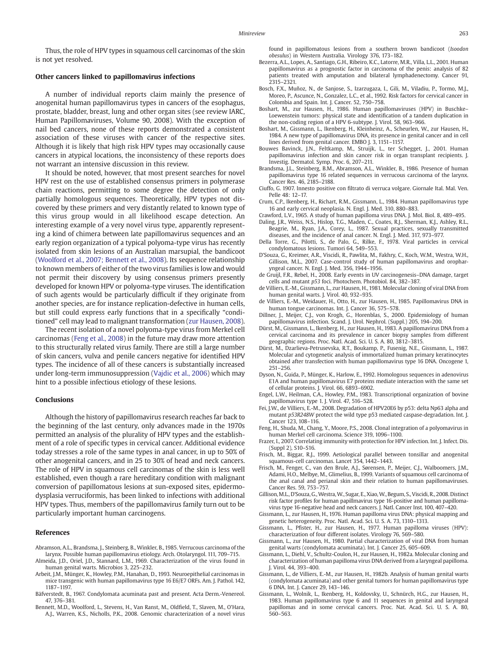#### <span id="page-3-0"></span>Other cancers linked to papillomavirus infections

A number of individual reports claim mainly the presence of anogenital human papillomavirus types in cancers of the esophagus, prostate, bladder, breast, lung and other organ sites (see review IARC, Human Papillomaviruses, Volume 90, 2008). With the exception of nail bed cancers, none of these reports demonstrated a consistent association of these viruses with cancer of the respective sites. Although it is likely that high risk HPV types may occasionally cause cancers in atypical locations, the inconsistency of these reports does not warrant an intensive discussion in this review.

It should be noted, however, that most present searches for novel HPV rest on the use of established consensus primers in polymerase chain reactions, permitting to some degree the detection of only partially homologous sequences. Theoretically, HPV types not discovered by these primers and very distantly related to known type of this virus group would in all likelihood escape detection. An interesting example of a very novel virus type, apparently representing a kind of chimera between late papillomavirus sequences and an early region organization of a typical polyoma-type virus has recently isolated from skin lesions of an Australian marsupial, the bandicoot [\(Woolford et al., 2007; Bennett et al., 2008\)](#page-5-0). Its sequence relationship to known members of either of the two virus families is low and would not permit their discovery by using consensus primers presently developed for known HPV or polyoma-type viruses. The identification of such agents would be particularly difficult if they originate from another species, are for instance replication-defective in human cells, but still could express early functions that in a specifically "conditioned" cell may lead to malignant transformation [\(zur Hausen, 2008\)](#page-5-0).

The recent isolation of a novel polyoma-type virus from Merkel cell carcinomas (Feng et al., 2008) in the future may draw more attention to this structurally related virus family. There are still a large number of skin cancers, vulva and penile cancers negative for identified HPV types. The incidence of all of these cancers is substantially increased under long-term immunosuppression [\(Vajdic et al., 2006](#page-4-0)) which may hint to a possible infectious etiology of these lesions.

#### **Conclusions**

Although the history of papillomavirus research reaches far back to the beginning of the last century, only advances made in the 1970s permitted an analysis of the plurality of HPV types and the establishment of a role of specific types in cervical cancer. Additional evidence today stresses a role of the same types in anal cancer, in up to 50% of other anogenital cancers, and in 25 to 30% of head and neck cancers. The role of HPV in squamous cell carcinomas of the skin is less well established, even though a rare hereditary condition with malignant conversion of papillomatous lesions at sun-exposed sites, epidermodysplasia verruciformis, has been linked to infections with additional HPV types. Thus, members of the papillomavirus family turn out to be particularly important human carcinogens.

#### References

- Abramson, A.L., Brandsma, J., Steinberg, B., Winkler, B., 1985. Verrucous carcinoma of the larynx. Possible human papillomavirus etiology. Arch. Otolaryngol. 111, 709–715.
- Almeida, J.D., Oriel, J.D., Stannard, L.M., 1969. Characterization of the virus found in human genital warts. Microbios 3, 225–232.
- Arbeit, J.M., Münger, K., Howley, P.M., Hanahan, D., 1993. Neuroepithelial carcinomas in mice transgenic with human papillomavirus type 16 E6/E7 ORFs. Am. J. Pathol. 142, 1187–1197.
- Bäfverstedt, B., 1967. Condylomata acuminata past and present. Acta Derm.-Venereol. 47, 376–381.
- Bennett, M.D., Woolford, L., Stevens, H., Van Ranst, M., Oldfield, T., Slaven, M., O'Hara, A.J., Warren, K.S., Nicholls, P.K., 2008. Genomic characterization of a novel virus

found in papillomatous lesions from a southern brown bandicoot (Isoodon obesulus) in Western Australia. Virology 376, 173–182.

- Bezerra, A.L., Lopes, A., Santiago, G.H., Ribeiro, K.C., Latorre, M.R., Villa, L.L., 2001. Human papillomavirus as a prognostic factor in carcinoma of the penis: analysis of 82 patients treated with amputation and bilateral lymphadenectomy. Cancer 91, 2315–2321.
- Bosch, F.X., Muñoz, N., de Sanjose, S., Izarzugaza, J., Gili, M., Viladiu, P., Tormo, M.J., Moreo, P., Ascunce, N., Gonzalez, L.C., et al., 1992. Risk factors for cervical cancer in Colombia and Spain. Int. J. Cancer. 52, 750–758.
- Boshart, M., zur Hausen, H., 1986. Human papillomaviruses (HPV) in Buschke– Loewenstein tumors: physical state and identification of a tandem duplication in the non-coding region of a HPV 6-subtype. J. Virol. 58, 963–966.
- Boshart, M., Gissmann, L., Ikenberg, H., Kleinheinz, A., Scheurlen, W., zur Hausen, H., 1984. A new type of papillomavirus DNA, its presence in genital cancer and in cell lines derived from genital cancer. EMBO J. 3, 1151-1157.
- Bouwes Bavinck, J.N., Feltkamp, M., Struijk, L., ter Schegget, J., 2001. Human papillomavirus infection and skin cancer risk in organ transplant recipients. J. Investig. Dermatol. Symp. Proc. 6, 207–211.
- Brandsma, J.L., Steinberg, B.M., Abramson, A.L., Winkler, B., 1986. Presence of human papillomavirus type 16 related sequences in verrucous carcinoma of the larynx. Cancer Res. 46, 2185–2188.
- Ciuffo, G. 1907. Innesto positive con filtrato di verruca volgare. Giornale Ital. Mal. Ven. Pelle 48: 12–17.
- Crum, C.P., Ikenberg, H., Richart, R.M., Gissmann, L., 1984. Human papillomavirus type 16 and early cervical neoplasia. N. Engl. J. Med. 310, 880–883.
- Crawford, L.V., 1965. A study of human papilloma virus DNA. J. Mol. Biol. 8, 489–495.
- Daling, J.R., Weiss, N.S., Hislop, T.G., Maden, C., Coates, R.J., Sherman, K.J., Ashley, R.L., Beagrie, M., Ryan, J.A., Corey, L., 1987. Sexual practices, sexually transmitted diseases, and the incidence of anal cancer. N. Engl. J. Med. 317, 973–977.
- Della Torre, G., Pilotti, S., de Palo, G., Rilke, F., 1978. Viral particles in cervical condylomatous lesions. Tumori 64, 549–553.
- D'Souza, G., Kreimer, A.R., Viscidi, R., Pawlita, M., Fakhry, C., Koch, W.M., Westra, W.H., Gillison, M.L., 2007. Case-control study of human papillomavirus and oropharyngeal cancer. N. Engl. J. Med. 356, 1944–1956.
- de Gruijl, F.R., Rebel, H., 2008. Early events in UV carcinogenesis–DNA damage, target cells and mutant p53 foci. Photochem. Photobiol. 84, 382–387.
- de Villiers, E.-M., Gissmann, L., zur Hausen, H., 1981. Molecular cloning of viral DNA from human genital warts. J. Virol. 40, 932–935.
- de Villiers, E.-M., Weidauer, H., Otto, H., zur Hausen, H., 1985. Papillomavirus DNA in human tongue carcinomas. Int. J. Cancer 36, 575–578.
- Dillner, J., Meijer, C.J., von Krogh, G., Horenblas, S., 2000. Epidemiology of human papillomavirus infection. Scand. J. Urol. Nephrol. (Suppl.) 205, 194–200.
- Dürst, M., Gissmann, L., Ikenberg, H., zur Hausen, H., 1983. A papillomavirus DNA from a cervical carcinoma and its prevalence in cancer biopsy samples from different geographic regions. Proc. Natl. Acad. Sci. U. S. A. 80, 3812–3815.
- Dürst, M., Dzarlieva-Petrusevska, R.T., Boukamp, P., Fusenig, N.E., Gissmann, L., 1987. Molecular and cytogenetic analysis of immortalized human primary keratinocytes obtained after transfection with human papillomavirus type 16 DNA. Oncogene 1, 251–256.
- Dyson, N., Guida, P., Münger, K., Harlow, E., 1992. Homologous sequences in adenovirus E1A and human papillomavirus E7 proteins mediate interaction with the same set of cellular proteins. J. Virol. 66, 6893–6902.
- Engel, L.W., Heilman, C.A., Howley, P.M., 1983. Transcriptional organization of bovine papillomavirus type 1. J. Virol. 47, 516–528.
- Fei, J.W., de Villiers, E.-M., 2008. Degradation of HPV20E6 by p53: delta Np63 alpha and mutant p53R248W protect the wild type p53 mediated caspase-degradation. Int. J. Cancer 123, 108–116.
- Feng, H., Shuda, M., Chang, Y., Moore, P.S., 2008. Clonal integration of a polyomavirus in human Merkel cell carcinoma. Science 319, 1096–1100.
- Frazer, I., 2007. Correlating immunity with protection for HPV infection. Int. J. Infect. Dis. (Suppl 2), S10–S16.
- Frisch, M., Biggar, R.J., 1999. Aetiological parallel between tonsillar and anogenital squamous-cell carcinomas. Lancet 354, 1442–1443.
- Frisch, M., Fenger, C., van den Brule, A.J., Sørensen, P., Meijer, C.J., Walboomers, J.M., Adami, H.O., Melbye, M., Glimelius, B., 1999. Variants of squamous cell carcinoma of the anal canal and perianal skin and their relation to human papillomaviruses. Cancer Res. 59, 753–757.
- Gillison,M.L., D'Souza, G.,Westra,W., Sugar, E., Xiao,W., Begum, S., Viscidi, R., 2008. Distinct risk factor profiles for human papillmavirus type 16-positive and human papillomavirus type 16-negative head and neck cancers. J. Natl. Cancer Inst. 100, 407–420.
- Gissmann, L., zur Hausen, H., 1976. Human papilloma virus DNA: physical mapping and genetic heterogeneity. Proc. Natl. Acad. Sci. U. S. A. 73, 1310–1313.
- Gissmann, L., Pfister, H., zur Hausen, H., 1977. Human papilloma viruses (HPV): characterization of four different isolates. Virology 76, 569–580.
- Gissmann, L., zur Hausen, H., 1980. Partial characterization of viral DNA from human genital warts (condylomata acuminata). Int. J. Cancer 25, 605–609.
- Gissmann, L., Diehl, V., Schultz-Coulon, H., zur Hausen, H., 1982a. Molecular cloning and characterization of human papilloma virus DNA derived from a laryngeal papilloma. J. Virol. 44, 393–400.
- Gissmann, L., de Villiers, E.-M., zur Hausen, H., 1982b. Analysis of human genital warts (condylomata acuminata) and other genital tumors for human papillomavirus type 6 DNA. Int. J. Cancer 29, 143–146.
- Gissmann, L., Wolnik, L., Ikenberg, H., Koldovsky, U., Schnürch, H.G., zur Hausen, H., 1983. Human papillomavirus type 6 and 11 sequences in genital and laryngeal papillomas and in some cervical cancers. Proc. Nat. Acad. Sci. U. S. A. 80, 560–563.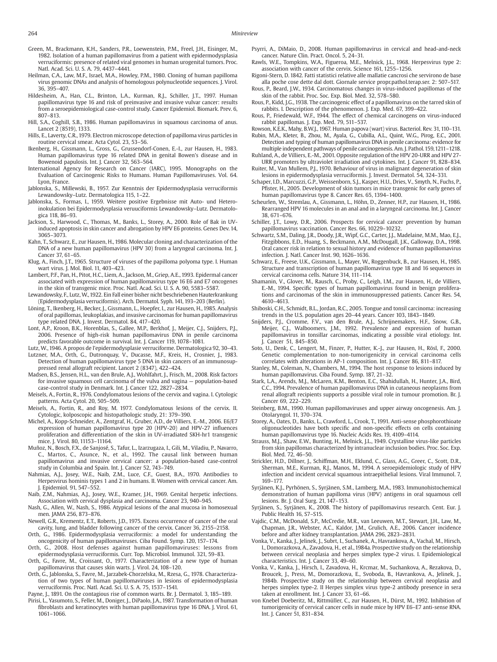- <span id="page-4-0"></span>Green, M., Brackmann, K.H., Sanders, P.R., Loewenstein, P.M., Freel, J.H., Eisinger, M., 1982. Isolation of a human papillomavirus from a patient with epidermodysplasia verruciformis: presence of related viral genomes in human urogenital tumors. Proc. Natl. Acad. Sci. U. S. A. 79, 4437–4441.
- Heilman, C.A., Law, M.F., Israel, M.A., Howley, P.M., 1980. Cloning of human papilloma virus genomic DNAs and analysis of homologous polynucleotide sequences. J. Virol. 36, 395–407.
- Hildesheim, A., Han, C.L., Brinton, L.A., Kurman, R.J., Schiller, J.T., 1997. Human papillomavirus type 16 and risk of preinvasive and invasive vulvar cancer: results from a seroepidemiological case-control study. Cancer Epidemiol. Biomark. Prev. 6, 807–813.
- Hill, S.A., Coghill, S.B., 1986. Human papillomavirus in squamous carcinoma of anus. Lancet 2 (8519), 1333.
- Hills, E., Laverty, C.R., 1979. Electron microscope detection of papilloma virus particles in routine cervical smear. Acta Cytol. 23, 53–56.
- Ikenberg, H., Gissmann, L., Gross, G., Grussendorf-Conen, E.-I., zur Hausen, H., 1983. Human papillomavirus type 16 related DNA in genital Bowen's disease and in Bowenoid papulosis. Int. J. Cancer 32, 563–564.
- International Agency for Research on Cancer (IARC), 1995. Monographs on the Evaluation of Carcinogenic Risks to Humans. Human Papillomaviruses. Vol. 64. Lyon, France.
- Jablonska, S., Millewski, B., 1957. Zur Kenntnis der Epidermodysplasia verruciformis Lewandowsky–Lutz. Dermatologica 115, 1–22.
- Jablonska, S., Formas, I., 1959. Weitere positive Ergebnisse mit Auto- und Heteroinokulation bei Epidermodysplasia veruuciformis Lewandowsky–Lutz. Dermatologica 118, 86–93.
- Jackson, S., Harwood, C., Thomas, M., Banks, L., Storey, A., 2000. Role of Bak in UVinduced apoptosis in skin cancer and abrogation by HPV E6 proteins. Genes Dev. 14, 3065–3073.
- Kahn, T., Schwarz, E., zur Hausen, H., 1986. Molecular cloning and characterization of the DNA of a new human papillomavirus (HPV 30) from a laryngeal carcinoma. Int. J. Cancer 37, 61–65.
- Klug, A., Finch, J.T., 1965. Structure of viruses of the papilloma polyoma type. I. Human wart virus. J. Mol. Biol. 11, 403–423.
- Lambert, P.F., Pan, H., Pitot, H.C., Liem, A., Jackson, M., Griep, A.E., 1993. Epidermal cancer associated with expression of human papillomavirus type 16 E6 and E7 oncogenes in the skin of transgenic mice. Proc. Natl. Acad. Sci. U. S. A. 90, 5583–5587.
- Lewandowsky, F., Lutz, W.,1922. Ein Fall einer bisher nicht beschriebenen Hauterkrankung (Epidermodysplasia verruciformis). Arch. Dermatol. Syph. 141, 193–203 (Berlin).
- Löning, T., Ikenberg, H., Becker, J., Gissmann, L., Hoepfer, I., zur Hausen, H., 1985. Analysis of oral papillomas, leukoplakias, and invasive carcinomas for human papillomavirus type related DNA. J. Invest. Dermatol. 84, 417–420.
- Lont, A.P., Kroon, B.K., Horenblas, S., Gallee, M.P., Berkhof, J., Meijer, C.J., Snijders, P.J., 2006. Presence of high-risk human papillomavirus DNA in penile carcinoma predicts favorable outcome in survival. Int. J. Cancer 119, 1078–1081.

Lutz, W., 1946. A propos de l'epidermodysplasie verruciforme. Dermatologica 92, 30–43.

- Lutzner, M.A., Orth, G., Dutronquay, V., Ducasse, M.F., Kreis, H., Crosnier, J., 1983. Detection of human papillomavirus type 5 DNA in skin cancers of an immunosuppressed renal allograft recipient. Lancet 2 (8347), 422–424.
- Madsen, B.S., Jensen, H.L., van den Brule, A.J., Wohlfahrt, J., Frisch, M., 2008. Risk factors for invasive squamous cell carcinoma of the vulva and vagina — population-based case-control study in Denmark. Int. J. Cancer 122, 2827–2834.
- Meisels, A., Fortin, R., 1976. Condylomatous lesions of the cervix and vagina. I. Cytologic patterns. Acta Cytol. 20, 505–509.
- Meisels, A., Fortin, R., and Roy, M. 1977. Condylomatous lesions of the cervix. II. Cytologic, kolposcopic and histopathologic study, 21: 379–390.
- Michel, A., Kopp-Schneider, A., Zentgraf, H., Gruber, A.D., de Villiers, E.-M., 2006. E6/E7 expression of human papillomavirus type 20 (HPV-20) and HPV-27 influences proliferation and differentiation of the skin in UV-irradiated SKH-hr1 transgenic mice. J. Virol. 80, 11153–11164.
- Muñoz, N., Bosch, F.X., de Sanjosé, S., Tafur, L., Izarzugaza, I., Gili, M., Viladiu, P., Navarro, C., Martos, C., Asunce, N., et al., 1992. The causal link between human papillomavirus and invasive cervical cancer: a population-based case-control study in Columbia and Spain. Int. J. Cancer 52, 743–749. Nahmias, A.J., Josey, W.E., Naib, Z.M., Luce, C.F., Guest, B.A., 1970. Antibodies to
- Herpesvirus hominis types 1 and 2 in humans. II. Women with cervical cancer. Am. J. Epidemiol. 91, 547–552.
- Naib, Z.M., Nahmias, A.J., Josey, W.E., Kramer, J.H., 1969. Genital herpetic infections. Association with cervical dysplasia and carcinoma. Cancer 23, 940–945.
- Nash, G., Allen, W., Nash, S., 1986. Atypical lesions of the anal mucosa in homosexual men. JAMA 256, 873–876.
- Newell, G.R., Krementz, E.T., Roberts, J.D., 1975. Excess occurrence of cancer of the oral cavity, lung, and bladder following cancer of the cervix. Cancer 36, 2155–2158.
- Orth, G., 1986. Epidermodysplasia verruciformis: a model for understanding the oncogenicity of human papillomaviruses. Ciba Found. Symp. 120, 157–174.
- Orth, G., 2008. Host defenses against human papillomaviruses: lessons from epidermodysplasia verruciformis. Curr. Top. Microbiol. Immunol. 321, 59–83.
- Orth, G., Favre, M., Croissant, O., 1977. Characterization of a new type of human papillomavirus that causes skin warts. J. Virol. 24, 108–120.
- Orth, G., Jablonska, S., Favre, M., Jarzabek-Chorzelska, M., Rzesa, G., 1978. Characterization of two types of human papillomaviruses in lesions of epidermodysplasia verruciformis. Proc. Natl. Acad. Sci. U. S. A. 75, 1537–1541.

Payne, J., 1891. On the contagious rise of common warts. Br. J. Dermatol. 3, 185–189.

Pirisi, L., Yasumoto, S., Feller, M., Doniger, J., DiPaolo, J.A., 1987. Transformation of human fibroblasts and keratinocytes with human papillomavirus type 16 DNA. J. Virol. 61, 1061–1066.

- Psyrri, A., DiMaio, D., 2008. Human papillomavirus in cervical and head-and-neck cancer. Nature Clin. Pract. Oncol. 5, 24–31.
- Rawls, W.E., Tompkins, W.A., Figueroa, M.E., Melnick, J.L., 1968. Herpesvirus type 2: association with cancer of the cervix. Science 161, 1255–1256.
- Rigoni-Stern, D. 1842. Fatti statistici relative alle mallatie cancrosi che servirono de base alla poche cose dette dal dott. Giornale service propr.pathol.terap.ser. 2: 507–517. Rous, P., Beard, J.W., 1934. Carcinomatous changes in virus-induced papillomas of the
- skin of the rabbit. Proc. Soc. Exp. Biol. Med. 32, 578–580.
- Rous, P., Kidd, J.G., 1938. The carcinogenic effect of a papillomavirus on the tarred skin of rabbits. I. Description of the phenomenon. J. Exp. Med. 67, 399–422.
- Rous, P., Friedewald, W.F., 1944. The effect of chemical carcinogens on virus-induced rabbit papillomas. J. Exp. Med. 79, 511–537.
- Rowson, K.E.K., Mahy, B.W.J., 1967. Human papova (wart) virus. Bacteriol. Rev. 31, 110–131. Rubin, M.A., Kleter, B., Zhou, M., Ayala, G., Cubilla, A.L., Quint, W.G., Pirog, E.C., 2001. Detection and typing of human papillomavirus DNA in penile carcinoma: evidence for multiple independent pathways of penile carcinogenesis. Am. J. Pathol.159,1211–1218.
- Ruhland, A., de Villiers, E.-M., 2001. Opposite regulation of the HPV 20-URR and HPV 27- URR promoters by ultraviolet irradiation and cytokines. Int. J. Cancer 91, 828–834.
- Ruiter, M., Van Mullem, P.J., 1970. Behaviour of virus in malignant degeneration of skin lesions in epidermodysplasia verruciformis. J. Invest. Dermatol. 54, 324–331.
- Schaper, I.D., Marcuzzi, G.P., Weissenborn, S.J., Kasper, H.U., Dries, V., Smyth, N., Fuchs, P., Pfister, H., 2005. Development of skin tumors in mice transgenic for early genes of human papillomavirus type 8. Cancer Res. 65, 1394–1400.
- Scheurlen, W., Stremlau, A., Gissmann, L., Höhn, D., Zenner, H.P., zur Hausen, H., 1986. Rearranged HPV 16 molecules in an anal and in a laryngeal carcinoma. Int. J. Cancer 38, 671–676.
- Schiller, J.T., Lowy, D.R., 2006. Prospects for cervical cancer prevention by human papillomavirus vaccination. Cancer Res. 66, 10229–10232.
- Schwartz, S.M., Daling, J.R., Doody, J.R., Wipf, G.C., Carter, J.J., Madelaine, M.M., Mao, E.J., Fitzgibbons, E.D., Huang, S., Beckmann, A.M., McDougall, J.K., Galloway, D.A., 1998. Oral cancer risk in relation to sexual history and evidence of human papillomavirus infection. J. Natl. Cancer Inst. 90, 1626–1636.
- Schwarz, E., Freese, U.K., Gissmann, L., Mayer, W., Roggenbuck, B., zur Hausen, H., 1985. Structure and transcription of human papillomavirus type 18 and 16 sequences in cervical carcinoma cells. Nature 314, 111–114.
- Shamanin, V., Glover, M., Rausch, C., Proby, C., Leigh, I.M., zur Hausen, H., de Villiers, E.-M., 1994. Specific types of human papillomavirus found in benign proliferations and carcinomas of the skin in immunosuppressed patients. Cancer Res. 54, 4610–4613.
- Shiboski, C.H., Schmidt, B.L., Jordan, R.C., 2005. Tongue and tonsil carcinoma: increasing trends in the U.S. population ages 20–44 years. Cancer 103, 1843–1849.
- Snijders, P.J., Cromme, F.V., van den Brule, A.J., Schrijnemakers, H.F., Snow, G.B., Meijer, C.J., Walboomers, J.M., 1992. Prevalence and expression of human papillomavirus in tonsillar carcinomas, indicating a possible viral etiology. Int. J. Cancer 51, 845–850.
- Soto, U., Denk, C., Lengert, M., Finzer, P., Hutter, K.-J., zur Hausen, H., Rösl, F., 2000. Genetic complementation to non-tumorigenicity in cervical carcinoma cells correlates with alterations in AP-1 composition. Int. J. Cancer 86, 811–817.
- Stanley, M., Coleman, N., Chambers, M., 1994. The host response to lesions induced by human papillomavirus. Ciba Found. Symp. 187, 21–32.
- Stark, L.A., Arends, M.J., McLaren, K.M., Benton, E.C., Shahidullah, H., Hunter, J.A., Bird, C.C., 1994. Prevalence of human papillomavirus DNA in cutaneous neoplasms from renal allograft recipients supports a possible viral role in tumour promotion. Br. J. Cancer 69, 222–229.
- Steinberg, B.M., 1990. Human papillomaviruses and upper airway oncogenesis. Am. J. Otolaryngol. 11, 370–374.
- Storey, A., Oates, D., Banks, L., Crawford, L., Crook, T., 1991. Anti-sense phosphorothioate oligonucleotides have both specific and non-specific effects on cells containing human papillomavirus type 16. Nucleic Acids Res. 19, 4109–4114.
- Strauss, M.J., Shaw, E.W., Bunting, H., Melnick, J.L., 1949. Crystalline virus-like particles from skin papillomas characterized by intranuclear inclusion bodies. Proc. Soc. Exp. Biol. Med. 72, 46–50.
- Strickler, H.D., Dillner, J., Schiffman, M.H., Eklund, C., Glass, A.G., Greer, C., Scott, D.R., Sherman, M.E., Kurman, R.J., Manos, M., 1994. A seroepidemiologic study of HPV infection and incident cervical squamous intraepithelial lesions. Viral Immunol. 7, 169–177.
- Syrjänen, K.J., Pyrhönen, S., Syrjänen, S.M., Lamberg, M.A., 1983. Immunohistochemical demonstration of human papilloma virus (HPV) antigens in oral squamous cell lesions. Br. J. Oral Surg. 21, 147–153.
- Syrjänen, S., Syrjänen, K., 2008. The history of papillomavirus research. Cent. Eur. J. Public Health 16, S7–S15.
- Vajdic, C.M., McDonald, S.P., McCredie, M.R., van Leeuwen, M.T., Stewart, J.H., Law, M., Chapman, J.R., Webster, A.C., Kaldor, J.M., Grulich, A.E., 2006. Cancer incidence before and after kidney transplantation. JAMA 296, 2823–2831.
- Vonka, V., Kanka, J., Jelinek, J., Subrt, I., Suchanek, A., Havrankova, A., Vachal, M., Hirsch, I., Domorazkova, A., Zavadova, H., et al., 1984a. Prospective study on the relationship between cervical neoplasia and herpes simplex type-2 virus. I. Epidemiological characteristics. Int. J. Cancer 33, 49–60.
- Vonka, V., Kanka, J., Hirsch, I., Zavadova, H., Krcmar, M., Suchankova, A., Rezakova, D., Broucek, J., Press, M., Domorazkova, E., Svoboda, B., Havrankova, A., Jelinek, J., 1984b. Prospective study on the relationship between cervical neoplasia and herpes simplex type-2. II Herpes simplex virus type-2 antibody presence in sera taken at enrollment. Int. J. Cancer 33, 61–66.
- von Knebel Doeberitz, M., Rittmüller, C., zur Hausen, H., Dürst, M., 1992. Inhibition of tumorigenicity of cervical cancer cells in nude mice by HPV E6–E7 anti-sense RNA. Int. J. Cancer 51, 831–834.